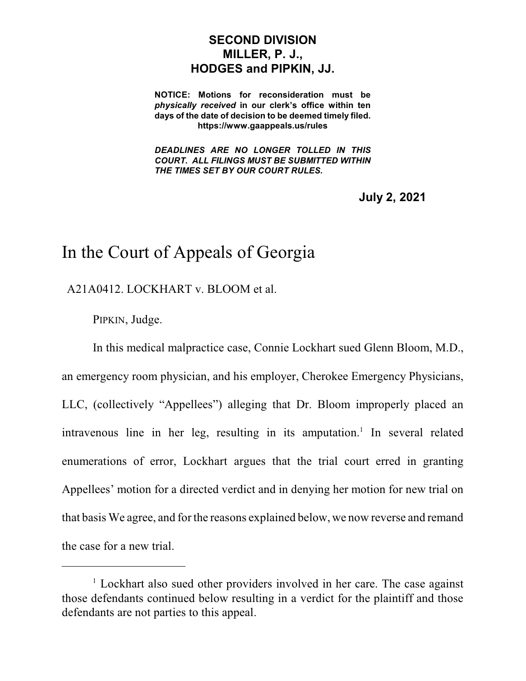## **SECOND DIVISION MILLER, P. J., HODGES and PIPKIN, JJ.**

**NOTICE: Motions for reconsideration must be** *physically received* **in our clerk's office within ten days of the date of decision to be deemed timely filed. https://www.gaappeals.us/rules**

*DEADLINES ARE NO LONGER TOLLED IN THIS COURT. ALL FILINGS MUST BE SUBMITTED WITHIN THE TIMES SET BY OUR COURT RULES.*

**July 2, 2021**

## In the Court of Appeals of Georgia

A21A0412. LOCKHART v. BLOOM et al.

PIPKIN, Judge.

In this medical malpractice case, Connie Lockhart sued Glenn Bloom, M.D., an emergency room physician, and his employer, Cherokee Emergency Physicians, LLC, (collectively "Appellees") alleging that Dr. Bloom improperly placed an intravenous line in her leg, resulting in its amputation.<sup>1</sup> In several related enumerations of error, Lockhart argues that the trial court erred in granting Appellees' motion for a directed verdict and in denying her motion for new trial on that basis We agree, and for the reasons explained below, we now reverse and remand the case for a new trial.

 $1$  Lockhart also sued other providers involved in her care. The case against those defendants continued below resulting in a verdict for the plaintiff and those defendants are not parties to this appeal.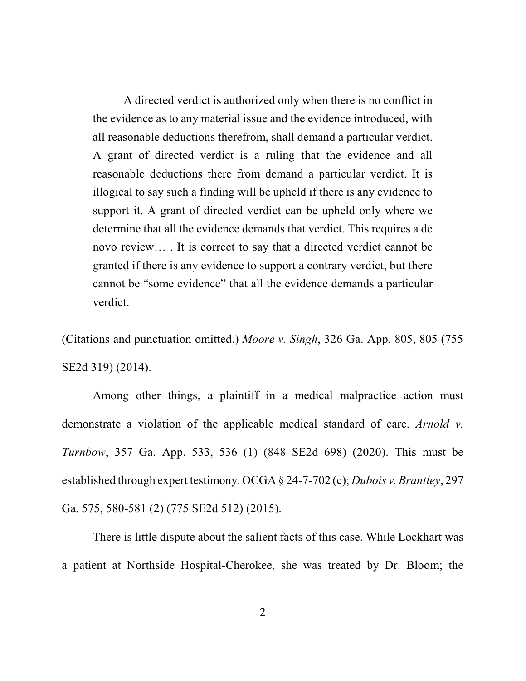A directed verdict is authorized only when there is no conflict in the evidence as to any material issue and the evidence introduced, with all reasonable deductions therefrom, shall demand a particular verdict. A grant of directed verdict is a ruling that the evidence and all reasonable deductions there from demand a particular verdict. It is illogical to say such a finding will be upheld if there is any evidence to support it. A grant of directed verdict can be upheld only where we determine that all the evidence demands that verdict. This requires a de novo review… . It is correct to say that a directed verdict cannot be granted if there is any evidence to support a contrary verdict, but there cannot be "some evidence" that all the evidence demands a particular verdict.

(Citations and punctuation omitted.) *Moore v. Singh*, 326 Ga. App. 805, 805 (755 SE2d 319) (2014).

Among other things, a plaintiff in a medical malpractice action must demonstrate a violation of the applicable medical standard of care. *Arnold v. Turnbow*, 357 Ga. App. 533, 536 (1) (848 SE2d 698) (2020). This must be established through expert testimony. OCGA § 24-7-702 (c); *Dubois v. Brantley*, 297 Ga. 575, 580-581 (2) (775 SE2d 512) (2015).

There is little dispute about the salient facts of this case. While Lockhart was a patient at Northside Hospital-Cherokee, she was treated by Dr. Bloom; the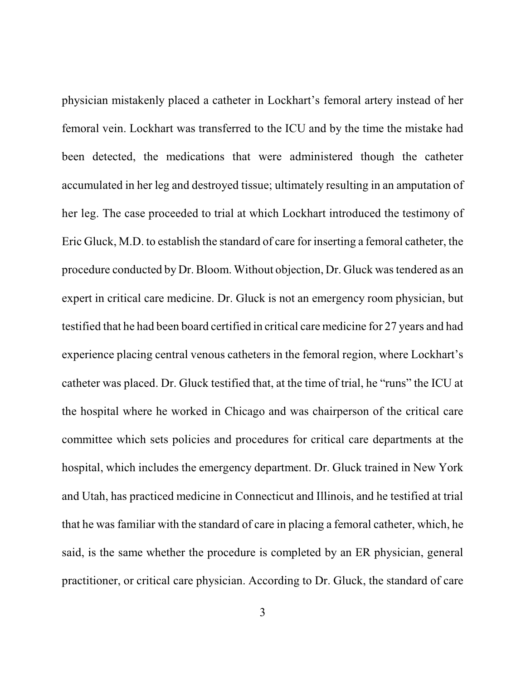physician mistakenly placed a catheter in Lockhart's femoral artery instead of her femoral vein. Lockhart was transferred to the ICU and by the time the mistake had been detected, the medications that were administered though the catheter accumulated in her leg and destroyed tissue; ultimately resulting in an amputation of her leg. The case proceeded to trial at which Lockhart introduced the testimony of Eric Gluck, M.D. to establish the standard of care for inserting a femoral catheter, the procedure conducted by Dr. Bloom. Without objection, Dr. Gluck wastendered as an expert in critical care medicine. Dr. Gluck is not an emergency room physician, but testified that he had been board certified in critical care medicine for 27 years and had experience placing central venous catheters in the femoral region, where Lockhart's catheter was placed. Dr. Gluck testified that, at the time of trial, he "runs" the ICU at the hospital where he worked in Chicago and was chairperson of the critical care committee which sets policies and procedures for critical care departments at the hospital, which includes the emergency department. Dr. Gluck trained in New York and Utah, has practiced medicine in Connecticut and Illinois, and he testified at trial that he was familiar with the standard of care in placing a femoral catheter, which, he said, is the same whether the procedure is completed by an ER physician, general practitioner, or critical care physician. According to Dr. Gluck, the standard of care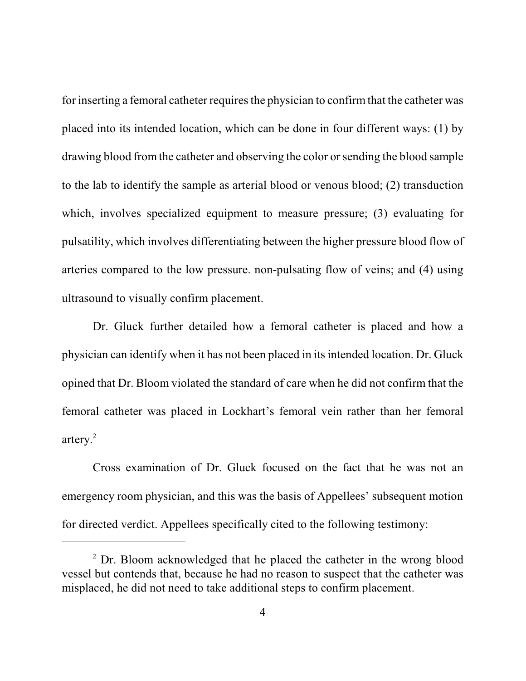for inserting a femoral catheter requires the physician to confirm that the catheter was placed into its intended location, which can be done in four different ways: (1) by drawing blood from the catheter and observing the color or sending the blood sample to the lab to identify the sample as arterial blood or venous blood; (2) transduction which, involves specialized equipment to measure pressure; (3) evaluating for pulsatility, which involves differentiating between the higher pressure blood flow of arteries compared to the low pressure. non-pulsating flow of veins; and (4) using ultrasound to visually confirm placement.

Dr. Gluck further detailed how a femoral catheter is placed and how a physician can identify when it has not been placed in its intended location. Dr. Gluck opined that Dr. Bloom violated the standard of care when he did not confirm that the femoral catheter was placed in Lockhart's femoral vein rather than her femoral artery. 2

Cross examination of Dr. Gluck focused on the fact that he was not an emergency room physician, and this was the basis of Appellees' subsequent motion for directed verdict. Appellees specifically cited to the following testimony:

<sup>&</sup>lt;sup>2</sup> Dr. Bloom acknowledged that he placed the catheter in the wrong blood vessel but contends that, because he had no reason to suspect that the catheter was misplaced, he did not need to take additional steps to confirm placement.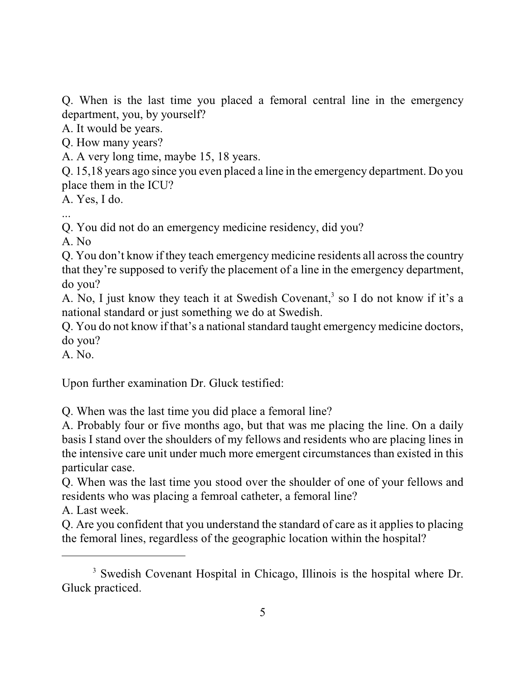Q. When is the last time you placed a femoral central line in the emergency department, you, by yourself?

A. It would be years.

Q. How many years?

A. A very long time, maybe 15, 18 years.

Q. 15,18 years ago since you even placed a line in the emergency department. Do you place them in the ICU?

A. Yes, I do.

...

Q. You did not do an emergency medicine residency, did you?

A. No

Q. You don't know if they teach emergency medicine residents all across the country that they're supposed to verify the placement of a line in the emergency department, do you?

A. No, I just know they teach it at Swedish Covenant, 3 so I do not know if it's a national standard or just something we do at Swedish.

Q. You do not know if that's a national standard taught emergency medicine doctors, do you?

A. No.

Upon further examination Dr. Gluck testified:

Q. When was the last time you did place a femoral line?

A. Probably four or five months ago, but that was me placing the line. On a daily basis I stand over the shoulders of my fellows and residents who are placing lines in the intensive care unit under much more emergent circumstances than existed in this particular case.

Q. When was the last time you stood over the shoulder of one of your fellows and residents who was placing a femroal catheter, a femoral line?

A. Last week.

Q. Are you confident that you understand the standard of care as it applies to placing the femoral lines, regardless of the geographic location within the hospital?

<sup>3</sup> Swedish Covenant Hospital in Chicago, Illinois is the hospital where Dr. Gluck practiced.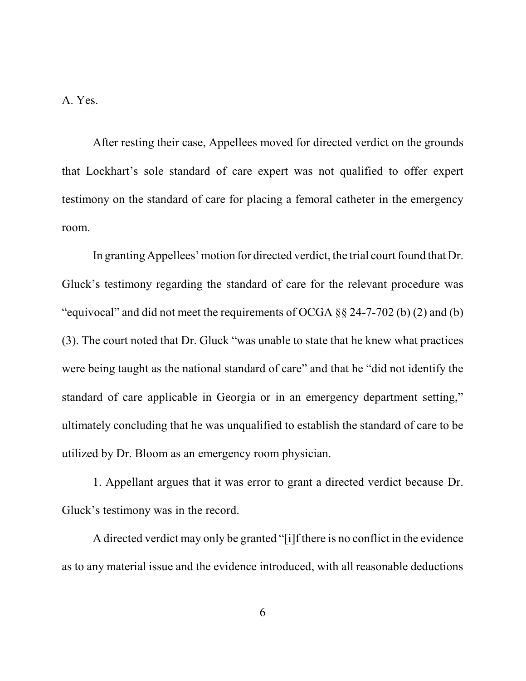A. Yes.

After resting their case, Appellees moved for directed verdict on the grounds that Lockhart's sole standard of care expert was not qualified to offer expert testimony on the standard of care for placing a femoral catheter in the emergency room.

In granting Appellees' motion for directed verdict, the trial court found that Dr. Gluck's testimony regarding the standard of care for the relevant procedure was "equivocal" and did not meet the requirements of OCGA §§ 24-7-702 (b) (2) and (b) (3). The court noted that Dr. Gluck "was unable to state that he knew what practices were being taught as the national standard of care" and that he "did not identify the standard of care applicable in Georgia or in an emergency department setting," ultimately concluding that he was unqualified to establish the standard of care to be utilized by Dr. Bloom as an emergency room physician.

1. Appellant argues that it was error to grant a directed verdict because Dr. Gluck's testimony was in the record.

A directed verdict may only be granted "[i]f there is no conflict in the evidence as to any material issue and the evidence introduced, with all reasonable deductions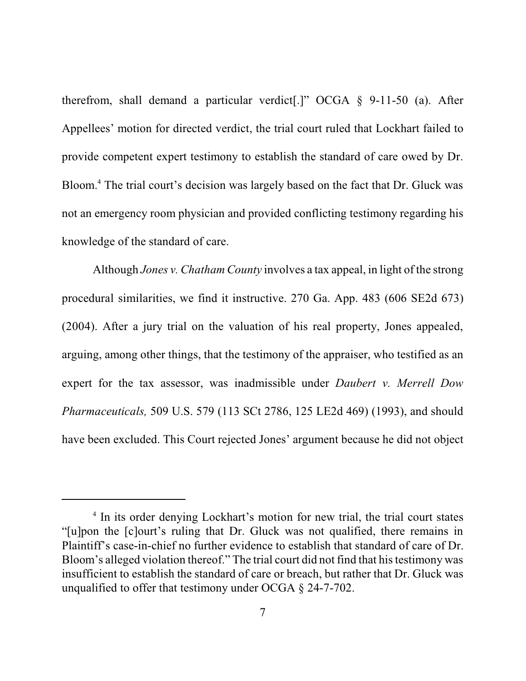therefrom, shall demand a particular verdict[.]" OCGA § 9-11-50 (a). After Appellees' motion for directed verdict, the trial court ruled that Lockhart failed to provide competent expert testimony to establish the standard of care owed by Dr. Bloom. <sup>4</sup> The trial court's decision was largely based on the fact that Dr. Gluck was not an emergency room physician and provided conflicting testimony regarding his knowledge of the standard of care.

Although *Jones v. Chatham County* involves a tax appeal, in light of the strong procedural similarities, we find it instructive. 270 Ga. App. 483 (606 SE2d 673) (2004). After a jury trial on the valuation of his real property, Jones appealed, arguing, among other things, that the testimony of the appraiser, who testified as an expert for the tax assessor, was inadmissible under *Daubert v. Merrell Dow Pharmaceuticals,* 509 U.S. 579 (113 SCt 2786, 125 LE2d 469) (1993), and should have been excluded. This Court rejected Jones' argument because he did not object

<sup>&</sup>lt;sup>4</sup> In its order denying Lockhart's motion for new trial, the trial court states "[u]pon the [c]ourt's ruling that Dr. Gluck was not qualified, there remains in Plaintiff's case-in-chief no further evidence to establish that standard of care of Dr. Bloom's alleged violation thereof." The trial court did not find that his testimony was insufficient to establish the standard of care or breach, but rather that Dr. Gluck was unqualified to offer that testimony under OCGA § 24-7-702.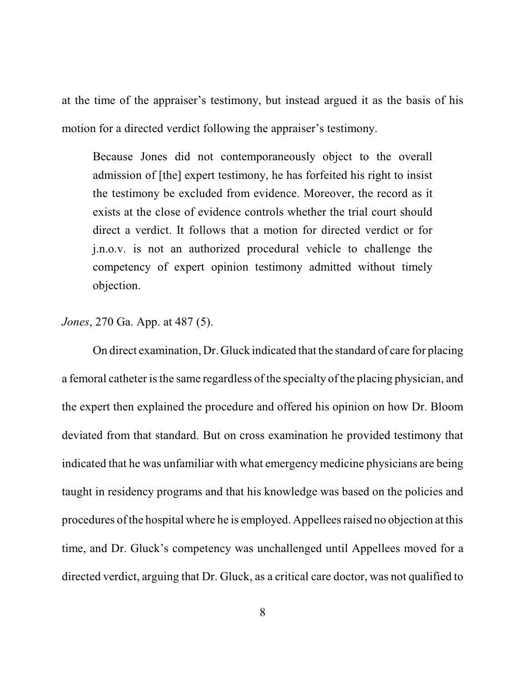at the time of the appraiser's testimony, but instead argued it as the basis of his motion for a directed verdict following the appraiser's testimony.

Because Jones did not contemporaneously object to the overall admission of [the] expert testimony, he has forfeited his right to insist the testimony be excluded from evidence. Moreover, the record as it exists at the close of evidence controls whether the trial court should direct a verdict. It follows that a motion for directed verdict or for j.n.o.v. is not an authorized procedural vehicle to challenge the competency of expert opinion testimony admitted without timely objection.

## *Jones*, 270 Ga. App. at 487 (5).

On direct examination, Dr. Gluck indicated that the standard of care for placing a femoral catheter is the same regardless of the specialty of the placing physician, and the expert then explained the procedure and offered his opinion on how Dr. Bloom deviated from that standard. But on cross examination he provided testimony that indicated that he was unfamiliar with what emergency medicine physicians are being taught in residency programs and that his knowledge was based on the policies and procedures of the hospital where he is employed. Appellees raised no objection at this time, and Dr. Gluck's competency was unchallenged until Appellees moved for a directed verdict, arguing that Dr. Gluck, as a critical care doctor, was not qualified to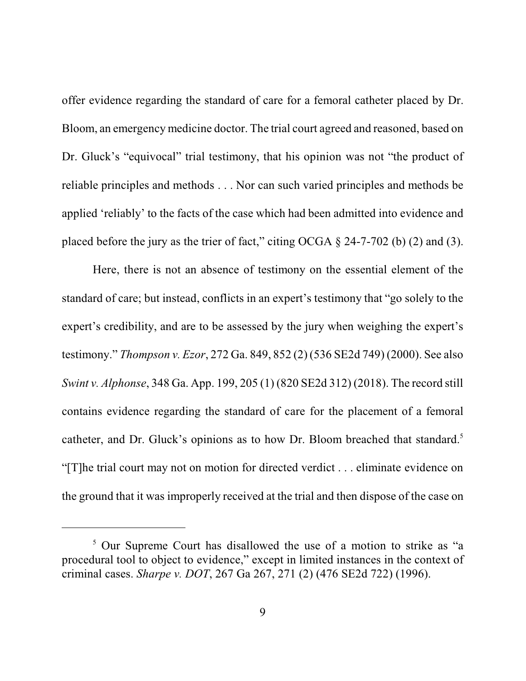offer evidence regarding the standard of care for a femoral catheter placed by Dr. Bloom, an emergency medicine doctor. The trial court agreed and reasoned, based on Dr. Gluck's "equivocal" trial testimony, that his opinion was not "the product of reliable principles and methods . . . Nor can such varied principles and methods be applied 'reliably' to the facts of the case which had been admitted into evidence and placed before the jury as the trier of fact," citing OCGA  $\S$  24-7-702 (b) (2) and (3).

Here, there is not an absence of testimony on the essential element of the standard of care; but instead, conflicts in an expert's testimony that "go solely to the expert's credibility, and are to be assessed by the jury when weighing the expert's testimony." *Thompson v. Ezor*, 272 Ga. 849, 852 (2) (536 SE2d 749) (2000). See also *Swint v. Alphonse*, 348 Ga. App. 199, 205 (1) (820 SE2d 312) (2018). The record still contains evidence regarding the standard of care for the placement of a femoral catheter, and Dr. Gluck's opinions as to how Dr. Bloom breached that standard.<sup>5</sup> "[T]he trial court may not on motion for directed verdict . . . eliminate evidence on the ground that it was improperly received at the trial and then dispose of the case on

<sup>&</sup>lt;sup>5</sup> Our Supreme Court has disallowed the use of a motion to strike as "a procedural tool to object to evidence," except in limited instances in the context of criminal cases. *Sharpe v. DOT*, 267 Ga 267, 271 (2) (476 SE2d 722) (1996).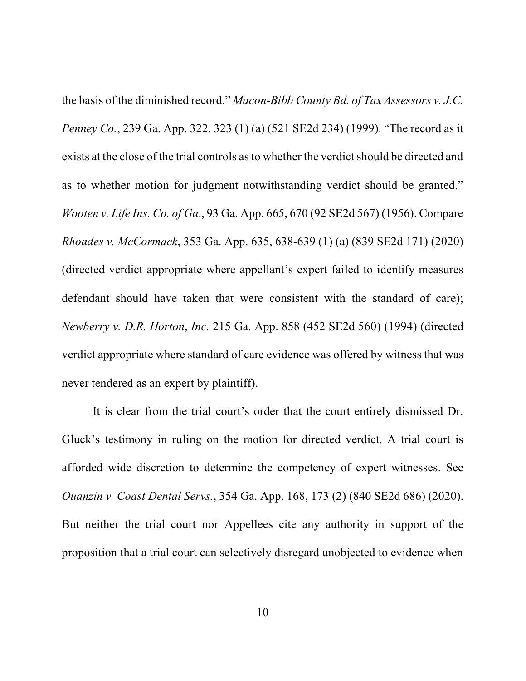the basis of the diminished record." *Macon-Bibb County Bd. of Tax Assessors v. J.C. Penney Co.*, 239 Ga. App. 322, 323 (1) (a) (521 SE2d 234) (1999). "The record as it exists at the close of the trial controls as to whether the verdict should be directed and as to whether motion for judgment notwithstanding verdict should be granted." *Wooten v. Life Ins. Co. of Ga*., 93 Ga. App. 665, 670 (92 SE2d 567) (1956). Compare *Rhoades v. McCormack*, 353 Ga. App. 635, 638-639 (1) (a) (839 SE2d 171) (2020) (directed verdict appropriate where appellant's expert failed to identify measures defendant should have taken that were consistent with the standard of care); *Newberry v. D.R. Horton*, *Inc.* 215 Ga. App. 858 (452 SE2d 560) (1994) (directed verdict appropriate where standard of care evidence was offered by witness that was never tendered as an expert by plaintiff).

It is clear from the trial court's order that the court entirely dismissed Dr. Gluck's testimony in ruling on the motion for directed verdict. A trial court is afforded wide discretion to determine the competency of expert witnesses. See *Ouanzin v. Coast Dental Servs.*, 354 Ga. App. 168, 173 (2) (840 SE2d 686) (2020). But neither the trial court nor Appellees cite any authority in support of the proposition that a trial court can selectively disregard unobjected to evidence when